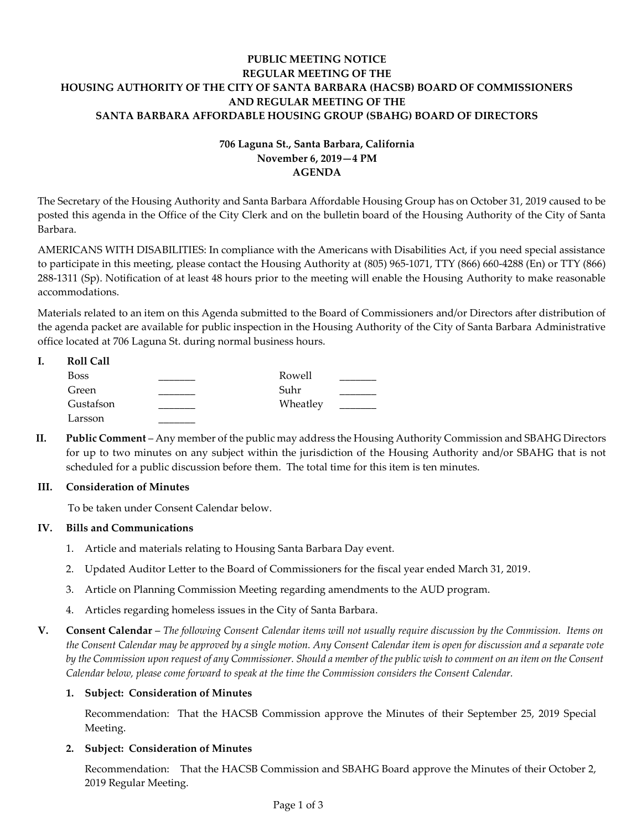## **PUBLIC MEETING NOTICE REGULAR MEETING OF THE HOUSING AUTHORITY OF THE CITY OF SANTA BARBARA (HACSB) BOARD OF COMMISSIONERS AND REGULAR MEETING OF THE SANTA BARBARA AFFORDABLE HOUSING GROUP (SBAHG) BOARD OF DIRECTORS**

# **706 Laguna St., Santa Barbara, California November 6, 2019—4 PM AGENDA**

The Secretary of the Housing Authority and Santa Barbara Affordable Housing Group has on October 31, 2019 caused to be posted this agenda in the Office of the City Clerk and on the bulletin board of the Housing Authority of the City of Santa Barbara.

AMERICANS WITH DISABILITIES: In compliance with the Americans with Disabilities Act, if you need special assistance to participate in this meeting, please contact the Housing Authority at (805) 965-1071, TTY (866) 660-4288 (En) or TTY (866) 288-1311 (Sp). Notification of at least 48 hours prior to the meeting will enable the Housing Authority to make reasonable accommodations.

Materials related to an item on this Agenda submitted to the Board of Commissioners and/or Directors after distribution of the agenda packet are available for public inspection in the Housing Authority of the City of Santa Barbara Administrative office located at 706 Laguna St. during normal business hours.

| <b>Roll Call</b> |          |  |
|------------------|----------|--|
| <b>Boss</b>      | Rowell   |  |
| Green            | Suhr     |  |
| Gustafson        | Wheatley |  |
| Larsson          |          |  |

**II. Public Comment** – Any member of the public may address the Housing Authority Commission and SBAHG Directors for up to two minutes on any subject within the jurisdiction of the Housing Authority and/or SBAHG that is not scheduled for a public discussion before them. The total time for this item is ten minutes.

## **III. Consideration of Minutes**

To be taken under Consent Calendar below.

## **IV. Bills and Communications**

- 1. Article and materials relating to [Housing Santa Barbara Day event.](https://hacsb.org/download/meetings_2019/items/11_november/Item-IV.1.pdf)
- 2. [Updated Auditor Letter to the Board of Commissioners for the fiscal year ended March 31, 2019.](https://hacsb.org/download/meetings_2019/items/11_november/Item-IV.2.pdf)
- 3. Article on Planning Commission Meeting [regarding amendments to the AUD program.](https://hacsb.org/download/meetings_2019/items/11_november/Item-IV.3.pdf)
- 4. Articles regarding homeless [issues in the City of Santa Barbara.](https://hacsb.org/download/meetings_2019/items/11_november/Item-IV.4.pdf)
- **V. Consent Calendar** *The following Consent Calendar items will not usually require discussion by the Commission. Items on the Consent Calendar may be approved by a single motion. Any Consent Calendar item is open for discussion and a separate vote by the Commission upon request of any Commissioner. Should a member of the public wish to comment on an item on the Consent Calendar below, please come forward to speak at the time the Commission considers the Consent Calendar.*

### **1. Subject: Consideration of Minutes**

[Recommendation: That the HACSB Commission approve the Minutes of their September 25, 2019](https://hacsb.org/download/meetings_2019/items/11_november/Item-V.1.pdf) Special Meeting.

#### **2. Subject: Consideration of Minutes**

Recommendation: That the HACSB Commission [and SBAHG Board approve the Minutes of their October 2,](https://hacsb.org/download/meetings_2019/items/11_november/Item-V.2.pdf)  2019 Regular Meeting.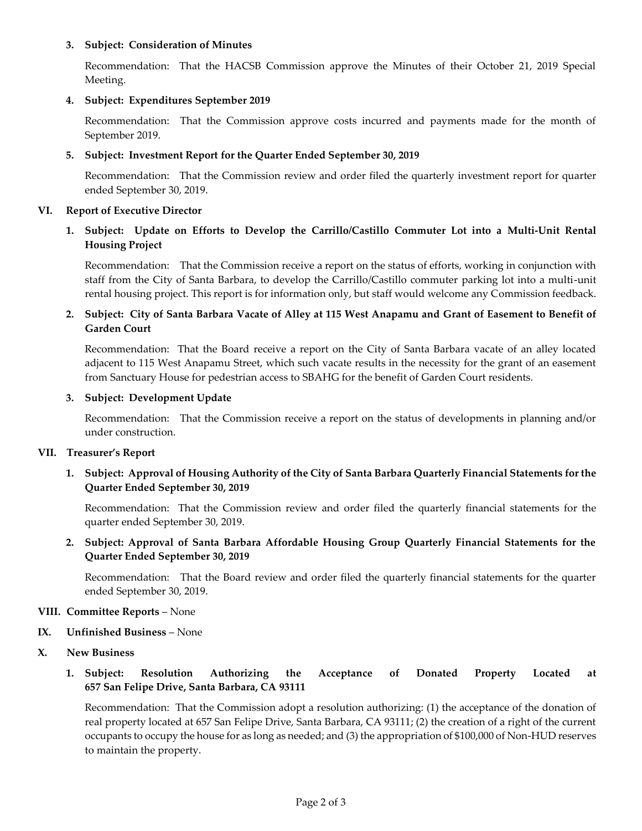#### **3. Subject: Consideration of Minutes**

[Recommendation: That the HACSB Commission approve the Minutes of their October 21, 2019 Special](https://hacsb.org/download/meetings_2019/items/11_november/Item-V.3.pdf)  Meeting.

## **4. Subject: Expenditures September 2019**

[Recommendation: That the Commission approve costs incurred and payments made for the month of](https://hacsb.org/download/meetings_2019/items/11_november/Item-V.4.pdf)  September 2019.

## **5. Subject: Investment Report for the Quarter Ended September 30, 2019**

[Recommendation: That the Commission review and order filed the quarterly investment report for quarter](https://hacsb.org/download/meetings_2019/items/11_november/Item-V.5.pdf)  ended September 30, 2019.

### **VI. Report of Executive Director**

## **1. Subject: Update on Efforts to Develop the Carrillo/Castillo Commuter Lot into a Multi-Unit Rental Housing Project**

Recommendation: That the Commission receive a report on the status of efforts, working in conjunction with [staff from the City of Santa Barbara, to develop the Carrillo/Castillo commuter parking lot into a multi-unit](https://hacsb.org/download/meetings_2019/items/11_november/Item-VI.1.pdf)  rental housing project. This report is for information only, but staff would welcome any Commission feedback.

## **[2. Subject: City of Santa Barbara Vacate of Alley at 115 West Anapamu and Grant of Easement to Benefit of](https://hacsb.org/download/meetings_2019/items/11_november/Item-VI.2.pdf)  Garden Court**

Recommendation: That the Board receive a report on the City of Santa Barbara vacate of an alley located adjacent to 115 West Anapamu Street, which such vacate results in the necessity for the grant of an easement from Sanctuary House for pedestrian access to SBAHG for the benefit of Garden Court residents.

#### **3. Subject: Development Update**

Recommendation: That the Commission receive a report on the status of developments in planning and/or under construction.

#### **VII. Treasurer's Report**

## **[1. Subject: Approval of Housing Authority of the City of Santa Barbara Quarterly Financial Statements for the](https://hacsb.org/download/meetings_2019/items/11_november/Item-VII.1.pdf)  Quarter Ended September 30, 2019**

Recommendation: That the Commission review and order filed the quarterly financial statements for the quarter ended September 30, 2019.

**[2. Subject: Approval of Santa Barbara Affordable Housing Group Quarterly Financial Statements for the](https://hacsb.org/download/meetings_2019/items/11_november/Item-VII.2.pdf)  Quarter Ended September 30, 2019**

Recommendation: That the Board review and order filed the quarterly financial statements for the quarter ended September 30, 2019.

#### **VIII. Committee Reports** – None

- **IX. Unfinished Business**  None
- **X. New Business**

## **1. [Subject: Resolution Authorizing the Acceptance of Donated Property Located at](https://hacsb.org/download/meetings_2019/items/11_november/Item-X.1.pdf)  657 San Felipe Drive, Santa Barbara, CA 93111**

Recommendation: That the Commission adopt a resolution authorizing: (1) the acceptance of the donation of real property located at 657 San Felipe Drive, Santa Barbara, CA 93111; (2) the creation of a right of the current occupants to occupy the house for as long as needed; and (3) the appropriation of \$100,000 of Non-HUD reserves to maintain the property.